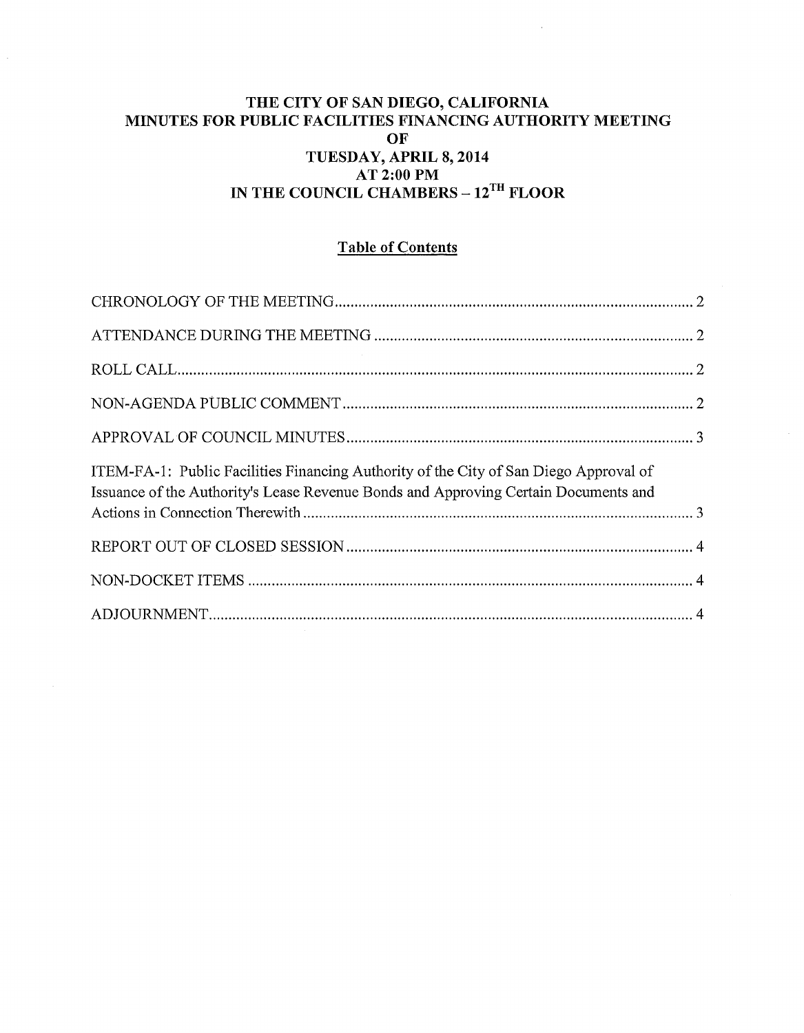# **THE CITY OF SAN DIEGO, CALIFORNIA MINUTES FOR PUBLIC FACILITIES FINANCING AUTHORITY MEETING OF TUESDAY, APRIL 8, 2014 AT 2:00PM IN THE COUNCIL CHAMBERS – 12<sup>TH</sup> FLOOR**

 $\overline{\mathcal{E}}$ 

# **Table of Contents**

| ITEM-FA-1: Public Facilities Financing Authority of the City of San Diego Approval of<br>Issuance of the Authority's Lease Revenue Bonds and Approving Certain Documents and |  |
|------------------------------------------------------------------------------------------------------------------------------------------------------------------------------|--|
|                                                                                                                                                                              |  |
|                                                                                                                                                                              |  |
|                                                                                                                                                                              |  |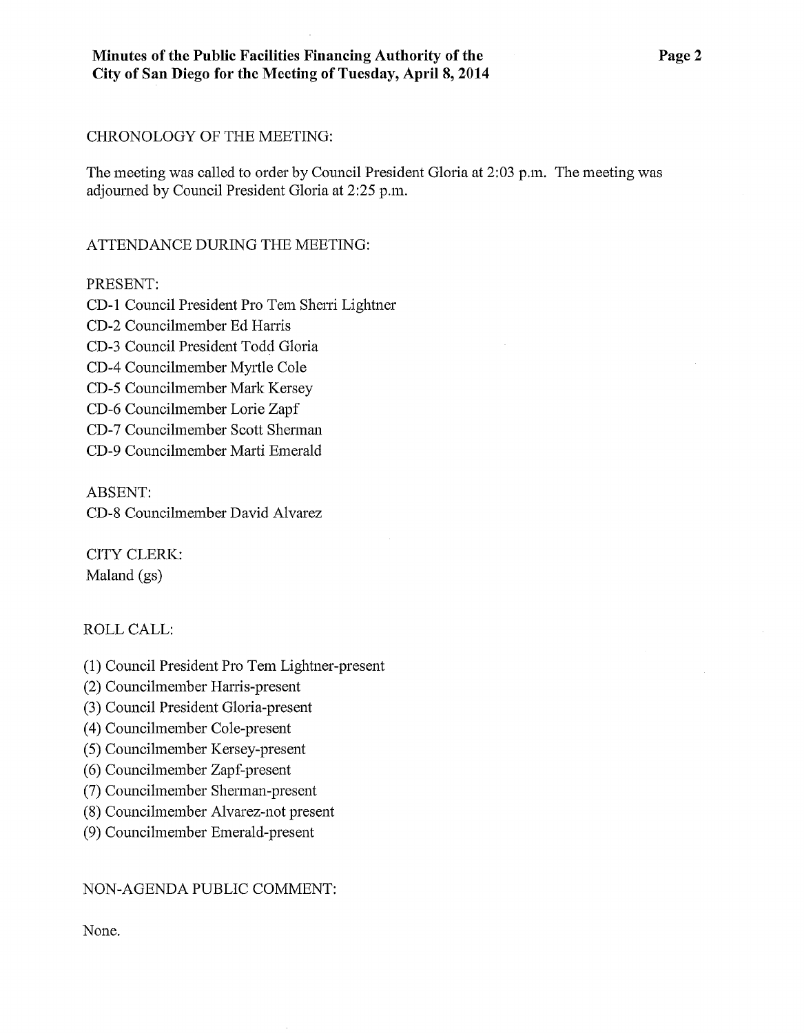### CHRONOLOGY OF THE MEETING:

The meeting was called to order by Council President Gloria at 2:03 p.m. The meeting was adjoumed by Council President Gloria at 2:25 p.m.

# ATTENDANCE DURING THE MEETING:

### PRESENT:

CD-I Council President Pro Tem Sheni Lightner

CD-2 Councilmember Ed Harris

CD-3 Council President Todd Gloria

CD-4 Councilmember Myrtle Cole

CD-5 Councilmember Mark Kersey

CD-6 Councilmember Lorie Zapf

CD-7 Councilmember Scott Shennan

CD-9 Councilmember Marti Emerald

ABSENT: CD-8 Councilmember David Alvarez

CITY CLERK: Maland (gs)

## ROLL CALL:

- (1) Council President Pro Tem Lightner-present
- (2) Councilmember Harris-present
- (3) Council President Gloria-present
- ( 4) Councilmember Cole-present
- (5) Councilmember Kersey-present
- (6) Councilmember Zapf-present
- (7) Councilmember Shennan-present
- (8) Councilmember Alvarez-not present
- (9) Councilmember Emerald-present

## NON-AGENDA PUBLIC COMMENT:

None.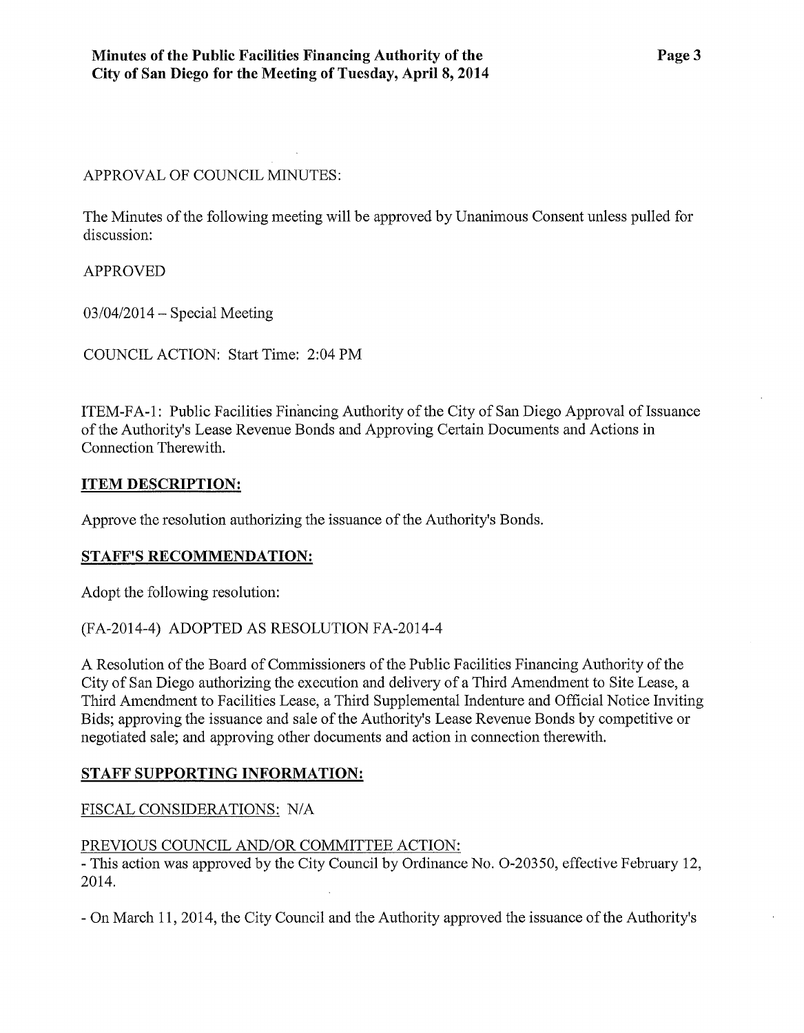APPROVAL OF COUNCIL MINUTES:

The Minutes of the following meeting will be approved by Unanimous Consent unless pulled for discussion:

APPROVED

 $03/04/2014$  – Special Meeting

COUNCIL ACTION: Start Time: 2:04PM

ITEM-FA-1: Public Facilities Financing Authority of the City of San Diego Approval of Issuance of the Authority's Lease Revenue Bonds and Approving Certain Documents and Actions in Connection Therewith.

### **ITEM DESCRIPTION:**

Approve the resolution authorizing the issuance of the Authority's Bonds.

### **STAFF'S RECOMMENDATION:**

Adopt the following resolution:

### (FA-2014-4) ADOPTED AS RESOLUTION FA-2014-4

A Resolution of the Board of Commissioners of the Public Facilities Financing Authority of the City of San Diego authorizing the execution and delivery of a Third Amendment to Site Lease, a Third Amendment to Facilities Lease, a Third Supplemental Indenture and Official Notice Inviting Bids; approving the issuance and sale of the Authority's Lease Revenue Bonds by competitive or negotiated sale; and approving other documents and action in connection therewith.

## **STAFF SUPPORTING INFORMATION:**

## FISCAL CONSIDERATIONS: N/A

### PREVIOUS COUNCIL AND/OR COMMITTEE ACTION:

-This action was approved by the City Council by Ordinance No. 0-20350, effective February 12, 2014.

-On March 11, 2014, the City Council and the Authority approved the issuance of the Authority's